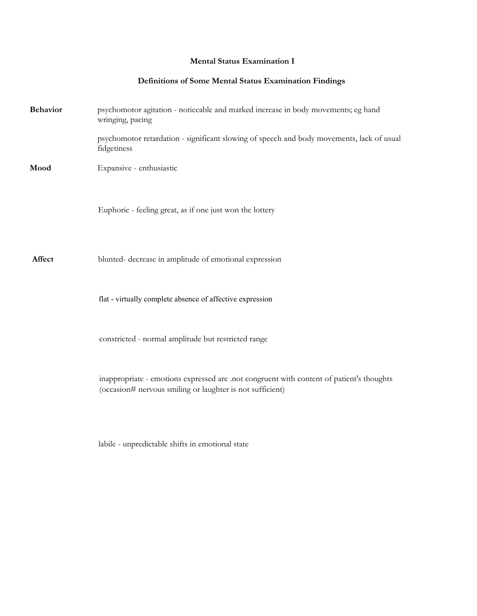## **Mental Status Examination I**

## **Definitions of Some Mental Status Examination Findings**

| <b>Behavior</b> | psychomotor agitation - noticeable and marked increase in body movements; eg hand<br>wringing, pacing                                                 |
|-----------------|-------------------------------------------------------------------------------------------------------------------------------------------------------|
|                 | psychomotor retardation - significant slowing of speech and body movements, lack of usual<br>fidgetiness                                              |
| Mood            | Expansive - enthusiastic                                                                                                                              |
|                 | Euphoric - feeling great, as if one just won the lottery                                                                                              |
| Affect          | blunted- decrease in amplitude of emotional expression                                                                                                |
|                 | flat - virtually complete absence of affective expression                                                                                             |
|                 | constricted - normal amplitude but restricted range                                                                                                   |
|                 | inappropriate - emotions expressed are .not congruent with content of patient's thoughts<br>(occasion# nervous smiling or laughter is not sufficient) |
|                 |                                                                                                                                                       |

labile - unpredictable shifts in emotional state